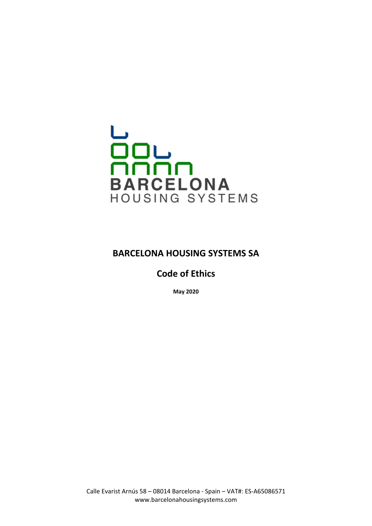# HOUSING SYSTEMS

# **BARCELONA HOUSING SYSTEMS SA**

**Code of Ethics**

**May 2020**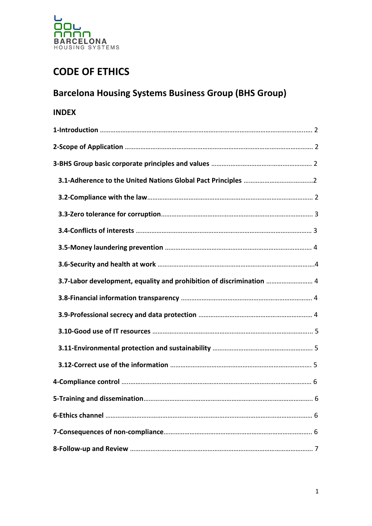

# **CODE OF ETHICS**

# **Barcelona Housing Systems Business Group (BHS Group)**

# **INDEX**

| 3.7-Labor development, equality and prohibition of discrimination  4 |
|----------------------------------------------------------------------|
|                                                                      |
|                                                                      |
|                                                                      |
|                                                                      |
|                                                                      |
|                                                                      |
|                                                                      |
|                                                                      |
|                                                                      |
|                                                                      |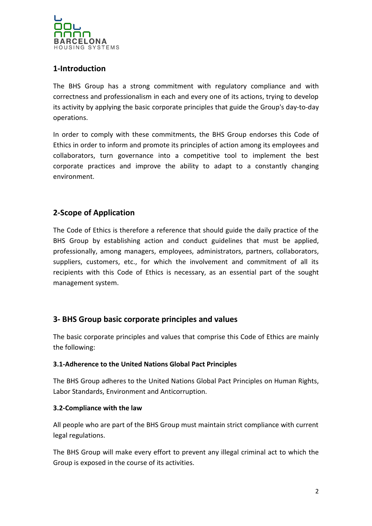

# **1-Introduction**

The BHS Group has a strong commitment with regulatory compliance and with correctness and professionalism in each and every one of its actions, trying to develop its activity by applying the basic corporate principles that guide the Group's day-to-day operations.

In order to comply with these commitments, the BHS Group endorses this Code of Ethics in order to inform and promote its principles of action among its employees and collaborators, turn governance into a competitive tool to implement the best corporate practices and improve the ability to adapt to a constantly changing environment.

# **2-Scope of Application**

The Code of Ethics is therefore a reference that should guide the daily practice of the BHS Group by establishing action and conduct guidelines that must be applied, professionally, among managers, employees, administrators, partners, collaborators, suppliers, customers, etc., for which the involvement and commitment of all its recipients with this Code of Ethics is necessary, as an essential part of the sought management system.

# **3- BHS Group basic corporate principles and values**

The basic corporate principles and values that comprise this Code of Ethics are mainly the following:

#### **3.1-Adherence to the United Nations Global Pact Principles**

The BHS Group adheres to the United Nations Global Pact Principles on Human Rights, Labor Standards, Environment and Anticorruption.

#### **3.2-Compliance with the law**

All people who are part of the BHS Group must maintain strict compliance with current legal regulations.

The BHS Group will make every effort to prevent any illegal criminal act to which the Group is exposed in the course of its activities.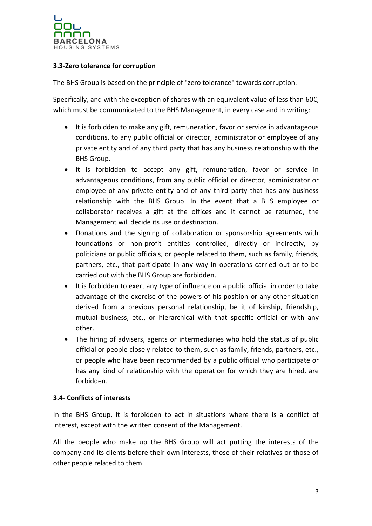

#### **3.3-Zero tolerance for corruption**

The BHS Group is based on the principle of "zero tolerance" towards corruption.

Specifically, and with the exception of shares with an equivalent value of less than 60 $\epsilon$ , which must be communicated to the BHS Management, in every case and in writing:

- It is forbidden to make any gift, remuneration, favor or service in advantageous conditions, to any public official or director, administrator or employee of any private entity and of any third party that has any business relationship with the BHS Group.
- It is forbidden to accept any gift, remuneration, favor or service in advantageous conditions, from any public official or director, administrator or employee of any private entity and of any third party that has any business relationship with the BHS Group. In the event that a BHS employee or collaborator receives a gift at the offices and it cannot be returned, the Management will decide its use or destination.
- Donations and the signing of collaboration or sponsorship agreements with foundations or non-profit entities controlled, directly or indirectly, by politicians or public officials, or people related to them, such as family, friends, partners, etc., that participate in any way in operations carried out or to be carried out with the BHS Group are forbidden.
- It is forbidden to exert any type of influence on a public official in order to take advantage of the exercise of the powers of his position or any other situation derived from a previous personal relationship, be it of kinship, friendship, mutual business, etc., or hierarchical with that specific official or with any other.
- The hiring of advisers, agents or intermediaries who hold the status of public official or people closely related to them, such as family, friends, partners, etc., or people who have been recommended by a public official who participate or has any kind of relationship with the operation for which they are hired, are forbidden.

#### **3.4- Conflicts of interests**

In the BHS Group, it is forbidden to act in situations where there is a conflict of interest, except with the written consent of the Management.

All the people who make up the BHS Group will act putting the interests of the company and its clients before their own interests, those of their relatives or those of other people related to them.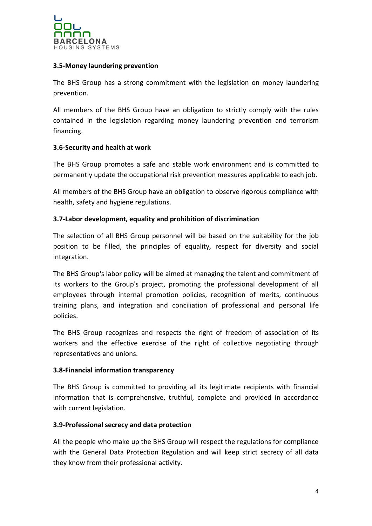

#### **3.5-Money laundering prevention**

The BHS Group has a strong commitment with the legislation on money laundering prevention.

All members of the BHS Group have an obligation to strictly comply with the rules contained in the legislation regarding money laundering prevention and terrorism financing.

#### **3.6-Security and health at work**

The BHS Group promotes a safe and stable work environment and is committed to permanently update the occupational risk prevention measures applicable to each job.

All members of the BHS Group have an obligation to observe rigorous compliance with health, safety and hygiene regulations.

#### **3.7-Labor development, equality and prohibition of discrimination**

The selection of all BHS Group personnel will be based on the suitability for the job position to be filled, the principles of equality, respect for diversity and social integration.

The BHS Group's labor policy will be aimed at managing the talent and commitment of its workers to the Group's project, promoting the professional development of all employees through internal promotion policies, recognition of merits, continuous training plans, and integration and conciliation of professional and personal life policies.

The BHS Group recognizes and respects the right of freedom of association of its workers and the effective exercise of the right of collective negotiating through representatives and unions.

#### **3.8-Financial information transparency**

The BHS Group is committed to providing all its legitimate recipients with financial information that is comprehensive, truthful, complete and provided in accordance with current legislation.

#### **3.9-Professional secrecy and data protection**

All the people who make up the BHS Group will respect the regulations for compliance with the General Data Protection Regulation and will keep strict secrecy of all data they know from their professional activity.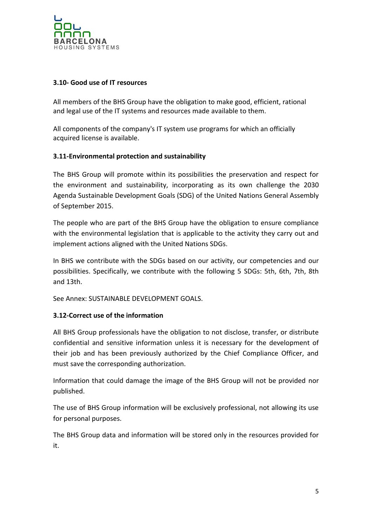

#### **3.10- Good use of IT resources**

All members of the BHS Group have the obligation to make good, efficient, rational and legal use of the IT systems and resources made available to them.

All components of the company's IT system use programs for which an officially acquired license is available.

#### **3.11-Environmental protection and sustainability**

The BHS Group will promote within its possibilities the preservation and respect for the environment and sustainability, incorporating as its own challenge the 2030 Agenda Sustainable Development Goals (SDG) of the United Nations General Assembly of September 2015.

The people who are part of the BHS Group have the obligation to ensure compliance with the environmental legislation that is applicable to the activity they carry out and implement actions aligned with the United Nations SDGs.

In BHS we contribute with the SDGs based on our activity, our competencies and our possibilities. Specifically, we contribute with the following 5 SDGs: 5th, 6th, 7th, 8th and 13th.

See Annex: SUSTAINABLE DEVELOPMENT GOALS.

#### **3.12-Correct use of the information**

All BHS Group professionals have the obligation to not disclose, transfer, or distribute confidential and sensitive information unless it is necessary for the development of their job and has been previously authorized by the Chief Compliance Officer, and must save the corresponding authorization.

Information that could damage the image of the BHS Group will not be provided nor published.

The use of BHS Group information will be exclusively professional, not allowing its use for personal purposes.

The BHS Group data and information will be stored only in the resources provided for it.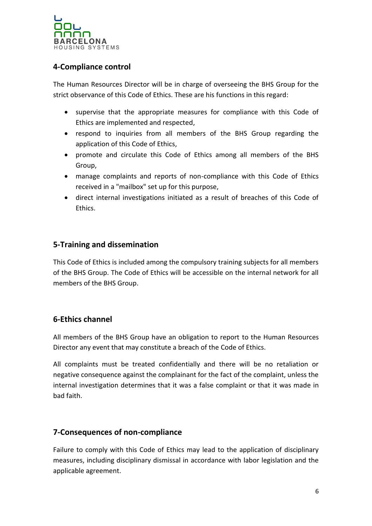

# **4-Compliance control**

The Human Resources Director will be in charge of overseeing the BHS Group for the strict observance of this Code of Ethics. These are his functions in this regard:

- supervise that the appropriate measures for compliance with this Code of Ethics are implemented and respected,
- respond to inquiries from all members of the BHS Group regarding the application of this Code of Ethics,
- promote and circulate this Code of Ethics among all members of the BHS Group,
- manage complaints and reports of non-compliance with this Code of Ethics received in a "mailbox" set up for this purpose,
- direct internal investigations initiated as a result of breaches of this Code of Ethics.

# **5-Training and dissemination**

This Code of Ethics is included among the compulsory training subjects for all members of the BHS Group. The Code of Ethics will be accessible on the internal network for all members of the BHS Group.

# **6-Ethics channel**

All members of the BHS Group have an obligation to report to the Human Resources Director any event that may constitute a breach of the Code of Ethics.

All complaints must be treated confidentially and there will be no retaliation or negative consequence against the complainant for the fact of the complaint, unless the internal investigation determines that it was a false complaint or that it was made in bad faith.

### **7-Consequences of non-compliance**

Failure to comply with this Code of Ethics may lead to the application of disciplinary measures, including disciplinary dismissal in accordance with labor legislation and the applicable agreement.